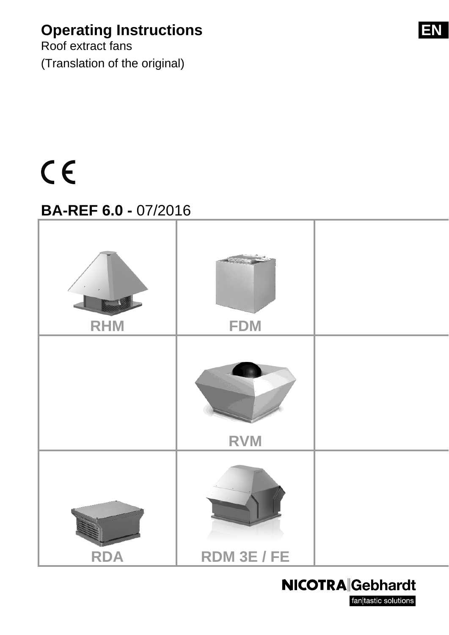### **Operating Instructions EN**

Roof extract fans (Translation of the original)

# $C<sub>f</sub>$

### **BA-REF 6.0 -** 07/2016



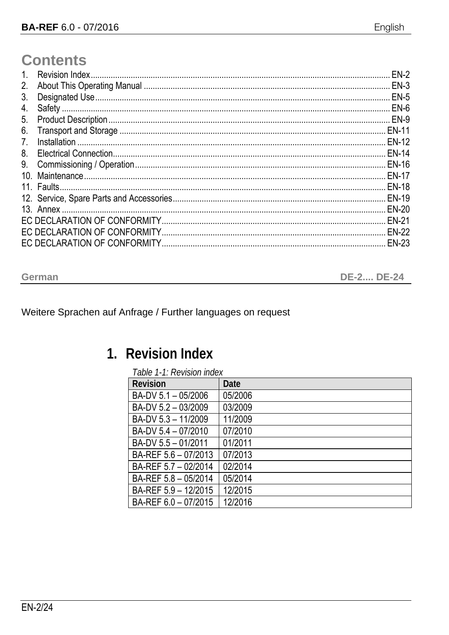### **Contents**

| $1_{\cdot}$    | $EN-2$       |
|----------------|--------------|
| 2.             | $EN-3$       |
| 3.             |              |
| 4.             |              |
| 5.             |              |
| 6.             |              |
| 7 <sub>1</sub> |              |
| 8.             |              |
| 9.             |              |
|                |              |
|                |              |
|                |              |
|                |              |
|                | <b>EN-21</b> |
|                |              |
|                | <b>EN-23</b> |

| German | <b>DE-2 DE-24</b> |
|--------|-------------------|
|--------|-------------------|

#### Weitere Sprachen auf Anfrage / Further languages on request

### 1. Revision Index

|  | Table 1-1: Revision index |  |
|--|---------------------------|--|
|  |                           |  |

| <b>Revision</b>      | Date    |
|----------------------|---------|
| BA-DV 5.1 - 05/2006  | 05/2006 |
| BA-DV 5.2 - 03/2009  | 03/2009 |
| BA-DV 5.3 - 11/2009  | 11/2009 |
| BA-DV 5.4 - 07/2010  | 07/2010 |
| BA-DV 5.5 - 01/2011  | 01/2011 |
| BA-REF 5.6 - 07/2013 | 07/2013 |
| BA-REF 5.7 - 02/2014 | 02/2014 |
| BA-REF 5.8 - 05/2014 | 05/2014 |
| BA-REF 5.9 - 12/2015 | 12/2015 |
| BA-REF 6.0 - 07/2015 | 12/2016 |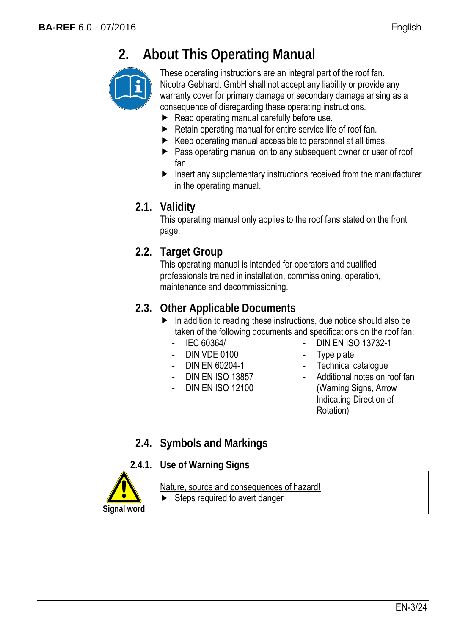### **2. About This Operating Manual**



These operating instructions are an integral part of the roof fan. Nicotra Gebhardt GmbH shall not accept any liability or provide any warranty cover for primary damage or secondary damage arising as a consequence of disregarding these operating instructions.

- Read operating manual carefully before use.
- $\blacktriangleright$  Retain operating manual for entire service life of roof fan.
- $\blacktriangleright$  Keep operating manual accessible to personnel at all times.
- **Pass operating manual on to any subsequent owner or user of roof** fan.
- $\blacktriangleright$  Insert any supplementary instructions received from the manufacturer in the operating manual.

#### **2.1. Validity**

This operating manual only applies to the roof fans stated on the front page.

#### **2.2. Target Group**

This operating manual is intended for operators and qualified professionals trained in installation, commissioning, operation, maintenance and decommissioning.

#### **2.3. Other Applicable Documents**

- $\blacktriangleright$  In addition to reading these instructions, due notice should also be taken of the following documents and specifications on the roof fan:
	- IEC 60364/
	- DIN VDE 0100
	- DIN EN 60204-1
	- DIN EN ISO 13857
	- DIN EN ISO 12100
- DIN EN ISO 13732-1
- Type plate
- Technical catalogue
- Additional notes on roof fan (Warning Signs, Arrow Indicating Direction of Rotation)

#### **2.4. Symbols and Markings**

#### **2.4.1. Use of Warning Signs**



#### Nature, source and consequences of hazard!

 $\blacktriangleright$  Steps required to avert danger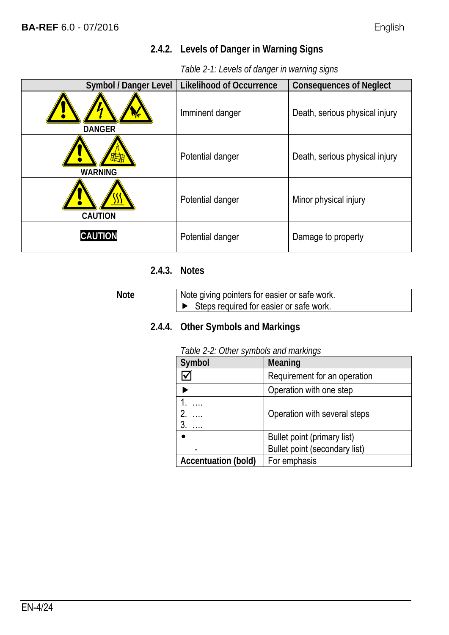#### **2.4.2. Levels of Danger in Warning Signs**

#### *Table 2-1: Levels of danger in warning signs*

| <b>Symbol / Danger Level</b>   | <b>Likelihood of Occurrence</b> | <b>Consequences of Neglect</b> |
|--------------------------------|---------------------------------|--------------------------------|
| <b>DANGER</b>                  | Imminent danger                 | Death, serious physical injury |
| $\mathbf{d}$<br><b>WARNING</b> | Potential danger                | Death, serious physical injury |
| <b>CAUTION</b>                 | Potential danger                | Minor physical injury          |
| <b>CAUTION</b>                 | Potential danger                | Damage to property             |

#### **2.4.3. Notes**

Note **Note** giving pointers for easier or safe work.  $\blacktriangleright$  Steps required for easier or safe work.

#### **2.4.4. Other Symbols and Markings**

#### *Table 2-2: Other symbols and markings*

| $1.0010 \pm 1.00101$ . The choice of the final string of $1.0010$ |  |
|-------------------------------------------------------------------|--|
| Meaning                                                           |  |
| Requirement for an operation                                      |  |
| Operation with one step                                           |  |
| Operation with several steps                                      |  |
| Bullet point (primary list)                                       |  |
| Bullet point (secondary list)                                     |  |
| For emphasis                                                      |  |
|                                                                   |  |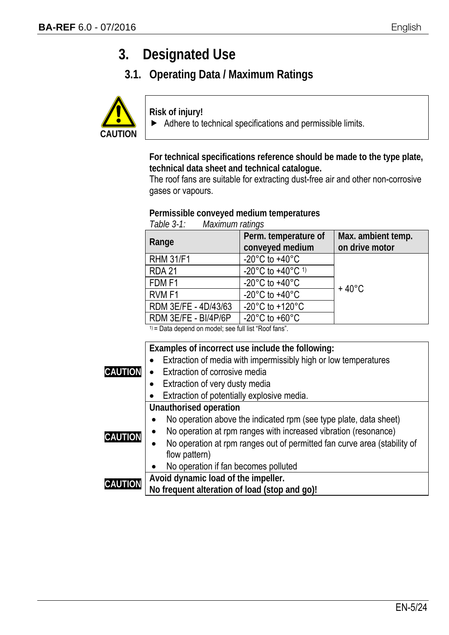### **3. Designated Use**

**3.1. Operating Data / Maximum Ratings** 



**Risk of injury!** 

 $\blacktriangleright$  Adhere to technical specifications and permissible limits.

**For technical specifications reference should be made to the type plate, technical data sheet and technical catalogue.**

The roof fans are suitable for extracting dust-free air and other non-corrosive gases or vapours.

#### **Permissible conveyed medium temperatures** *Table 3-1: Maximum ratings*

| <i>LANIC J-L.</i><br><i>WAXIHUHH TAWIY</i> S |                                                    |                                      |
|----------------------------------------------|----------------------------------------------------|--------------------------------------|
| Range                                        | Perm. temperature of<br>conveyed medium            | Max. ambient temp.<br>on drive motor |
| <b>RHM 31/F1</b>                             | $-20^{\circ}$ C to $+40^{\circ}$ C                 |                                      |
| <b>RDA 21</b>                                | -20 $^{\circ}$ C to +40 $^{\circ}$ C <sup>1)</sup> |                                      |
| FDM <sub>F1</sub>                            | $-20^{\circ}$ C to $+40^{\circ}$ C                 | $+40^{\circ}$ C                      |
| RVM <sub>F1</sub>                            | $-20^{\circ}$ C to $+40^{\circ}$ C                 |                                      |
| RDM 3E/FE - 4D/43/63                         | $-20^{\circ}$ C to $+120^{\circ}$ C                |                                      |
| RDM 3E/FE - BI/4P/6P                         | $-20^{\circ}$ C to $+60^{\circ}$ C                 |                                      |

1) = Data depend on model; see full list "Roof fans".

|                | Examples of incorrect use include the following:                                      |
|----------------|---------------------------------------------------------------------------------------|
|                | Extraction of media with impermissibly high or low temperatures                       |
| <b>CAUTION</b> | Extraction of corrosive media                                                         |
|                | Extraction of very dusty media<br>$\bullet$                                           |
|                | Extraction of potentially explosive media.                                            |
|                | Unauthorised operation                                                                |
|                | No operation above the indicated rpm (see type plate, data sheet)                     |
| <b>CAUTION</b> | No operation at rpm ranges with increased vibration (resonance)                       |
|                | No operation at rpm ranges out of permitted fan curve area (stability of<br>$\bullet$ |
|                | flow pattern)                                                                         |
|                | No operation if fan becomes polluted                                                  |
| <b>CAUTION</b> | Avoid dynamic load of the impeller.                                                   |
|                | No frequent alteration of load (stop and go)!                                         |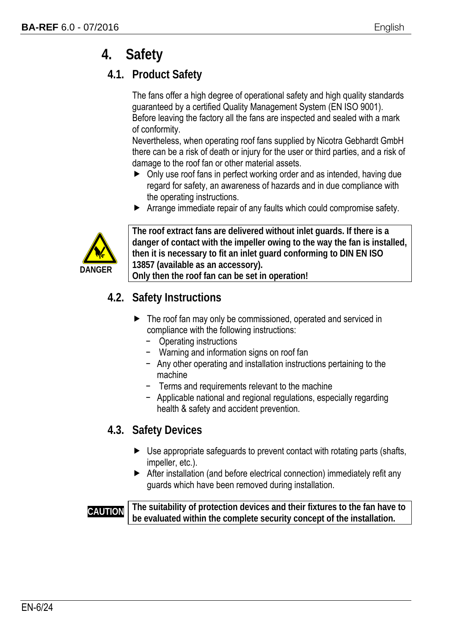### **4. Safety**

#### **4.1. Product Safety**

The fans offer a high degree of operational safety and high quality standards guaranteed by a certified Quality Management System (EN ISO 9001). Before leaving the factory all the fans are inspected and sealed with a mark of conformity.

Nevertheless, when operating roof fans supplied by Nicotra Gebhardt GmbH there can be a risk of death or injury for the user or third parties, and a risk of damage to the roof fan or other material assets.

- ▶ Only use roof fans in perfect working order and as intended, having due regard for safety, an awareness of hazards and in due compliance with the operating instructions.
- Arrange immediate repair of any faults which could compromise safety.



**The roof extract fans are delivered without inlet guards. If there is a danger of contact with the impeller owing to the way the fan is installed, then it is necessary to fit an inlet guard conforming to DIN EN ISO 13857 (available as an accessory).** 

**Only then the roof fan can be set in operation!** 

#### **4.2. Safety Instructions**

- ▶ The roof fan may only be commissioned, operated and serviced in compliance with the following instructions:
	- − Operating instructions
	- − Warning and information signs on roof fan
	- − Any other operating and installation instructions pertaining to the machine
	- − Terms and requirements relevant to the machine
	- − Applicable national and regional regulations, especially regarding health & safety and accident prevention.

#### **4.3. Safety Devices**

- ▶ Use appropriate safeguards to prevent contact with rotating parts (shafts, impeller, etc.).
- After installation (and before electrical connection) immediately refit any guards which have been removed during installation.

**CAUTION** The suitability of protection devices and their fixtures to the fan have to **be evaluated within the complete security concept of the installation.**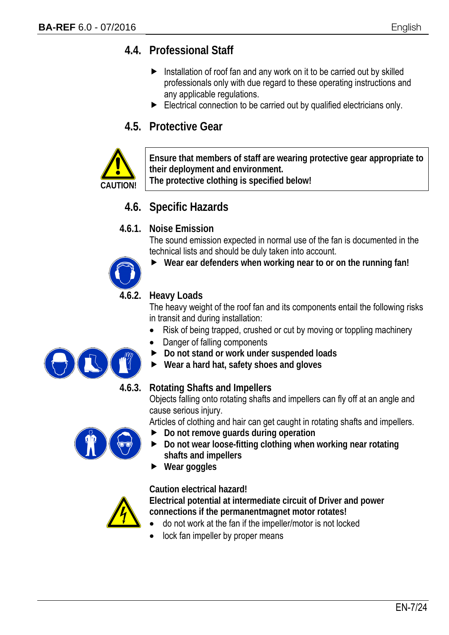#### **4.4. Professional Staff**

- $\blacktriangleright$  Installation of roof fan and any work on it to be carried out by skilled professionals only with due regard to these operating instructions and any applicable regulations.
- Electrical connection to be carried out by qualified electricians only.

#### **4.5. Protective Gear**



**Ensure that members of staff are wearing protective gear appropriate to their deployment and environment. The protective clothing is specified below!**

#### **4.6. Specific Hazards**

#### **4.6.1. Noise Emission**

The sound emission expected in normal use of the fan is documented in the technical lists and should be duly taken into account.



**Wear ear defenders when working near to or on the running fan!** 

#### **4.6.2. Heavy Loads**

The heavy weight of the roof fan and its components entail the following risks in transit and during installation:

- Risk of being trapped, crushed or cut by moving or toppling machinery
- Danger of falling components
- **Do not stand or work under suspended loads**
- **Wear a hard hat, safety shoes and gloves**

#### **4.6.3. Rotating Shafts and Impellers**

Objects falling onto rotating shafts and impellers can fly off at an angle and cause serious injury.

Articles of clothing and hair can get caught in rotating shafts and impellers.

- **Do not remove guards during operation**
- **Do not wear loose-fitting clothing when working near rotating shafts and impellers**
- **Wear goggles**

#### **Caution electrical hazard!**

**Electrical potential at intermediate circuit of Driver and power connections if the permanentmagnet motor rotates!** 

- do not work at the fan if the impeller/motor is not locked
- lock fan impeller by proper means

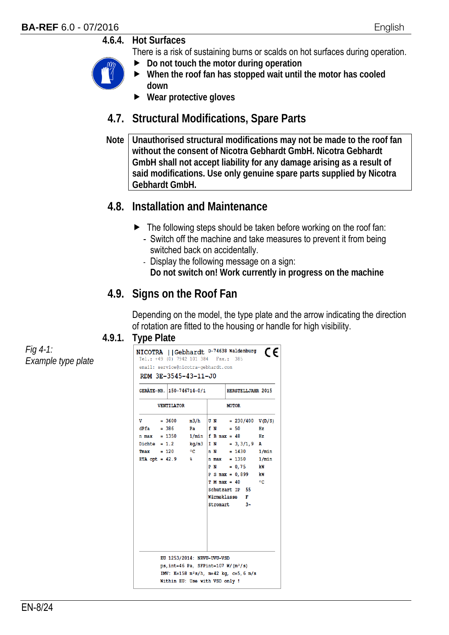#### **4.6.4. Hot Surfaces**

There is a risk of sustaining burns or scalds on hot surfaces during operation.

- **Do not touch the motor during operation**
- **When the roof fan has stopped wait until the motor has cooled down**
- **Wear protective gloves**

#### **4.7. Structural Modifications, Spare Parts**

**Note Unauthorised structural modifications may not be made to the roof fan without the consent of Nicotra Gebhardt GmbH. Nicotra Gebhardt GmbH shall not accept liability for any damage arising as a result of said modifications. Use only genuine spare parts supplied by Nicotra Gebhardt GmbH.** 

#### **4.8. Installation and Maintenance**

- $\blacktriangleright$  The following steps should be taken before working on the roof fan:
	- Switch off the machine and take measures to prevent it from being switched back on accidentally.
	- Display the following message on a sign: **Do not switch on! Work currently in progress on the machine**

#### **4.9. Signs on the Roof Fan**

Depending on the model, the type plate and the arrow indicating the direction of rotation are fitted to the housing or handle for high visibility.

#### **4.9.1. Type Plate**

NICOTRA | Gebhardt D-74638 Waldenburg CE Tel.: +49 (0) 7942 101 384 Fax.: 385 email: service@nicotra-gebhardt.com RDM 3E-3545-43-11-J0 GERÄTE-NR. 150-746714-0/1 HERSTELLJAHR 2015 **VENTILATOR MOTOR**  $\overline{\mathbf{v}}$  $= 3600$  m3/h  $\overline{U} N$  = 230/400 V(D/S) = 386 Pa  $\begin{array}{|c|c|c|c|c|c|} \hline \texttt{=} & 386 & \texttt{Pa} & \texttt{f} & \texttt{N} & \texttt{=} & 50 \\ \hline \texttt{=} & 1350 & 1/\text{min} & \texttt{f} & \texttt{B} & \texttt{max} & \texttt{=} & 48 \\ \hline \end{array}$  $dPfa$  $HZ$  $n \max = 1350$  $Hz$ Dichte = 1.2 kg/m3 I N = 3,3/1,9 A  $Tmax = 120$  °C  $n N = 1430 1/min$ ETA opt =  $42.9$  %  $n \text{ max} = 1350$  $1/min$  $P N = 0.75$ kW  $P S max = 0.899$ kW  $T$  M max = 40  $^{\circ}$ Schutzart IP 55 Wärmeklasse F Stromart  $3\sim$ EU 1253/2014: NRVU-UVU-VSD ps, int=46 Pa, SFPint=107  $W/(m^3/s)$ IMV: K=158 m<sup>2</sup>s/h, m=42 kg, c=5,6 m/s Within EU: Use with VSD only !

*Fig 4-1: Example type plate*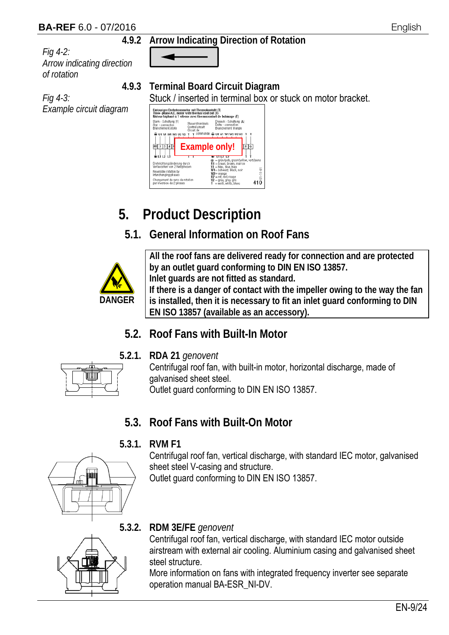#### **BA-REF** 6.0 - 07/2016 English

#### **4.9.2 Arrow Indicating Direction of Rotation**

*Fig 4-2: Arrow indicating direction of rotation*

*Fig 4-3: Example circuit diagram*

**4.9.3 Terminal Board Circuit Diagram**

Stuck / inserted in terminal box or stuck on motor bracket.<br>  $\frac{1}{\text{Intercept of the Mott of } \{n\}}$ 



### **5. Product Description**

#### **5.1. General Information on Roof Fans**



**All the roof fans are delivered ready for connection and are protected by an outlet guard conforming to DIN EN ISO 13857. Inlet guards are not fitted as standard.** 

**If there is a danger of contact with the impeller owing to the way the fan is installed, then it is necessary to fit an inlet guard conforming to DIN EN ISO 13857 (available as an accessory).** 

#### **5.2. Roof Fans with Built-In Motor**

**5.2.1. RDA 21** *genovent*



Centrifugal roof fan, with built-in motor, horizontal discharge, made of galvanised sheet steel. Outlet guard conforming to DIN EN ISO 13857.

#### **5.3. Roof Fans with Built-On Motor**

#### **5.3.1. RVM F1**

Centrifugal roof fan, vertical discharge, with standard IEC motor, galvanised sheet steel V-casing and structure.

Outlet guard conforming to DIN EN ISO 13857.



#### **5.3.2. RDM 3E/FE** *genovent*

Centrifugal roof fan, vertical discharge, with standard IEC motor outside airstream with external air cooling. Aluminium casing and galvanised sheet steel structure.

More information on fans with integrated frequency inverter see separate operation manual BA-ESR\_NI-DV.



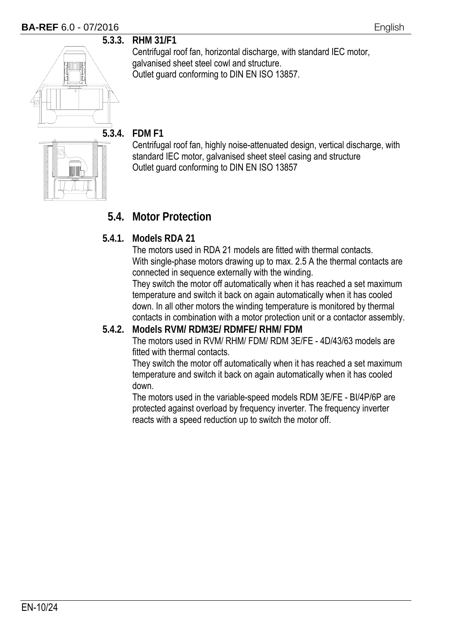#### **BA-REF** 6.0 - 07/2016 **English**



**5.3.3. RHM 31/F1** 

Centrifugal roof fan, horizontal discharge, with standard IEC motor, galvanised sheet steel cowl and structure. Outlet guard conforming to DIN EN ISO 13857.



#### **5.3.4. FDM F1**

Centrifugal roof fan, highly noise-attenuated design, vertical discharge, with standard IEC motor, galvanised sheet steel casing and structure Outlet guard conforming to DIN EN ISO 13857

#### **5.4. Motor Protection**

#### **5.4.1. Models RDA 21**

The motors used in RDA 21 models are fitted with thermal contacts. With single-phase motors drawing up to max. 2.5 A the thermal contacts are connected in sequence externally with the winding.

They switch the motor off automatically when it has reached a set maximum temperature and switch it back on again automatically when it has cooled down. In all other motors the winding temperature is monitored by thermal contacts in combination with a motor protection unit or a contactor assembly.

#### **5.4.2. Models RVM/ RDM3E/ RDMFE/ RHM/ FDM**

The motors used in RVM/ RHM/ FDM/ RDM 3E/FE - 4D/43/63 models are fitted with thermal contacts.

They switch the motor off automatically when it has reached a set maximum temperature and switch it back on again automatically when it has cooled down.

The motors used in the variable-speed models RDM 3E/FE - BI/4P/6P are protected against overload by frequency inverter. The frequency inverter reacts with a speed reduction up to switch the motor off.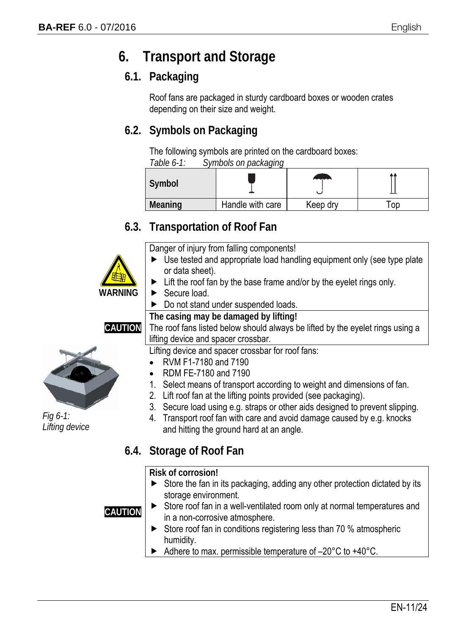### **6. Transport and Storage**

#### **6.1. Packaging**

Roof fans are packaged in sturdy cardboard boxes or wooden crates depending on their size and weight.

#### **6.2. Symbols on Packaging**

The following symbols are printed on the cardboard boxes:

| Table $6-1$ : | Symbols on packaging |  |
|---------------|----------------------|--|
|               |                      |  |

| Symbol         |                  | <b>Anno</b> |    |
|----------------|------------------|-------------|----|
| <b>Meaning</b> | Handle with care | Keep dry    | oc |

#### **6.3. Transportation of Roof Fan**

Danger of injury from falling components!

- ▶ Use tested and appropriate load handling equipment only (see type plate or data sheet).
- $\blacktriangleright$  Lift the roof fan by the base frame and/or by the eyelet rings only.
- Secure load.
- Do not stand under suspended loads.

**The casing may be damaged by lifting!** 

**CAUTION**

**WARNING**



*Fig 6-1: Lifting device*

The roof fans listed below should always be lifted by the eyelet rings using a lifting device and spacer crossbar.

Lifting device and spacer crossbar for roof fans:

- RVM F1-7180 and 7190
- RDM FE-7180 and 7190
- 1. Select means of transport according to weight and dimensions of fan.
- 2. Lift roof fan at the lifting points provided (see packaging).
- 3. Secure load using e.g. straps or other aids designed to prevent slipping.
- 4. Transport roof fan with care and avoid damage caused by e.g. knocks and hitting the ground hard at an angle.

#### **6.4. Storage of Roof Fan**

**Risk of corrosion!** 

 $\triangleright$  Store the fan in its packaging, adding any other protection dictated by its storage environment.

**CAUTION**

- ▶ Store roof fan in a well-ventilated room only at normal temperatures and in a non-corrosive atmosphere.
- $\triangleright$  Store roof fan in conditions registering less than 70 % atmospheric humidity.
- Adhere to max. permissible temperature of –20°C to +40°C.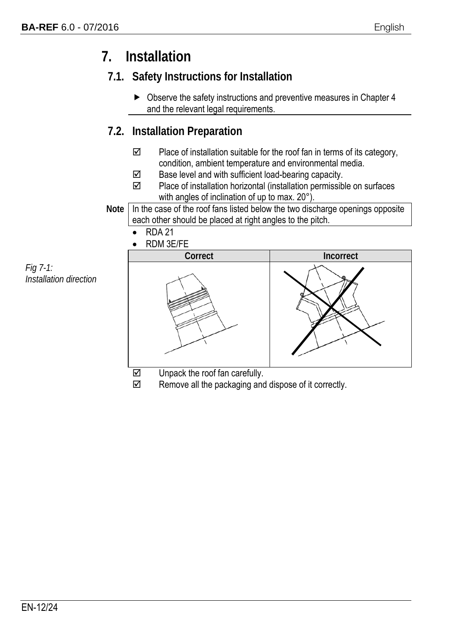### **7. Installation**

### **7.1. Safety Instructions for Installation**

▶ Observe the safety instructions and preventive measures in Chapter 4 and the relevant legal requirements.

#### **7.2. Installation Preparation**

- $\boxtimes$  Place of installation suitable for the roof fan in terms of its category, condition, ambient temperature and environmental media.
- $\boxtimes$  Base level and with sufficient load-bearing capacity.
- $\boxtimes$  Place of installation horizontal (installation permissible on surfaces with angles of inclination of up to max. 20°).
- Note In the case of the roof fans listed below the two discharge openings opposite each other should be placed at right angles to the pitch.
	- $\bullet$  RDA 21
	- RDM 3E/FE

*Fig 7-1: Installation direction*



- 
- $\boxtimes$  Remove all the packaging and dispose of it correctly.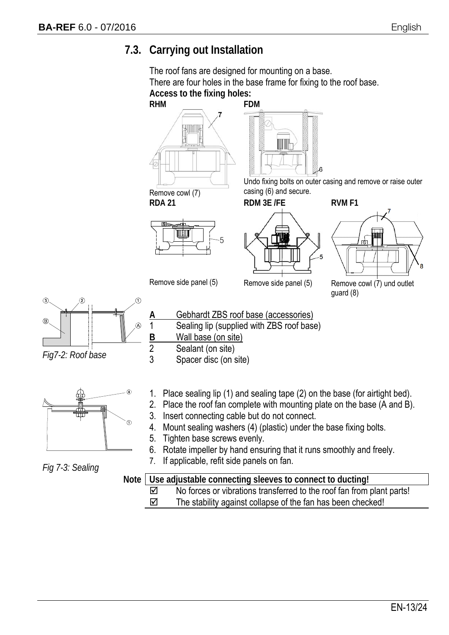#### **7.3. Carrying out Installation**

The roof fans are designed for mounting on a base. There are four holes in the base frame for fixing to the roof base. **Access to the fixing holes:** 



- 2. Place the roof fan complete with mounting plate on the base (A and B).
- 3. Insert connecting cable but do not connect.
- 4. Mount sealing washers (4) (plastic) under the base fixing bolts.
- 5. Tighten base screws evenly.
- 6. Rotate impeller by hand ensuring that it runs smoothly and freely.
- 7. If applicable, refit side panels on fan.

**Note Use adjustable connecting sleeves to connect to ducting!**   $\boxtimes$  No forces or vibrations transferred to the roof fan from plant parts!

 $\boxtimes$  The stability against collapse of the fan has been checked!

*Fig7-2: Roof base*

 $\circled{3}$ 

*Fig 7-3: Sealing*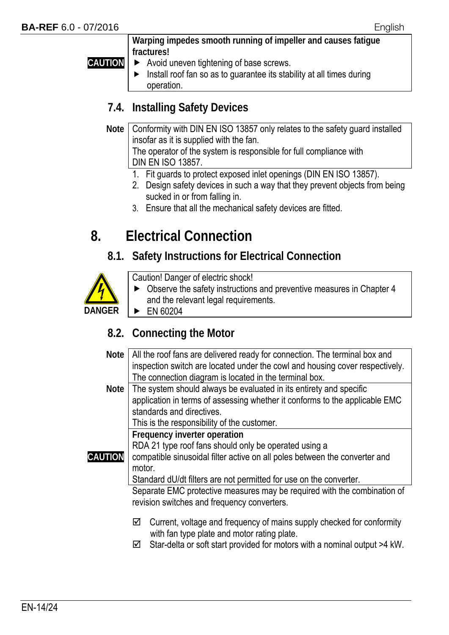**CAUTION**

**Warping impedes smooth running of impeller and causes fatigue fractures!** 

- Avoid uneven tightening of base screws.
- $\blacktriangleright$  Install roof fan so as to guarantee its stability at all times during operation.

#### **7.4. Installing Safety Devices**

**Note** | Conformity with DIN EN ISO 13857 only relates to the safety guard installed insofar as it is supplied with the fan. The operator of the system is responsible for full compliance with DIN EN ISO 13857.

- 1. Fit guards to protect exposed inlet openings (DIN EN ISO 13857).
- 2. Design safety devices in such a way that they prevent objects from being sucked in or from falling in.
- 3. Ensure that all the mechanical safety devices are fitted.

### **8. Electrical Connection**

#### **8.1. Safety Instructions for Electrical Connection**



Caution! Danger of electric shock!

- Observe the safety instructions and preventive measures in Chapter 4 and the relevant legal requirements.
- EN 60204

#### **8.2. Connecting the Motor**

- **Note** All the roof fans are delivered ready for connection. The terminal box and inspection switch are located under the cowl and housing cover respectively. The connection diagram is located in the terminal box.
- **Note** The system should always be evaluated in its entirety and specific application in terms of assessing whether it conforms to the applicable EMC standards and directives.

This is the responsibility of the customer.

**Frequency inverter operation** 

RDA 21 type roof fans should only be operated using a

**CAUTION** compatible sinusoidal filter active on all poles between the converter and

> motor. Standard dU/dt filters are not permitted for use on the converter.

Separate EMC protective measures may be required with the combination of revision switches and frequency converters.

- $\boxtimes$  Current, voltage and frequency of mains supply checked for conformity with fan type plate and motor rating plate.
- $\boxtimes$  Star-delta or soft start provided for motors with a nominal output >4 kW.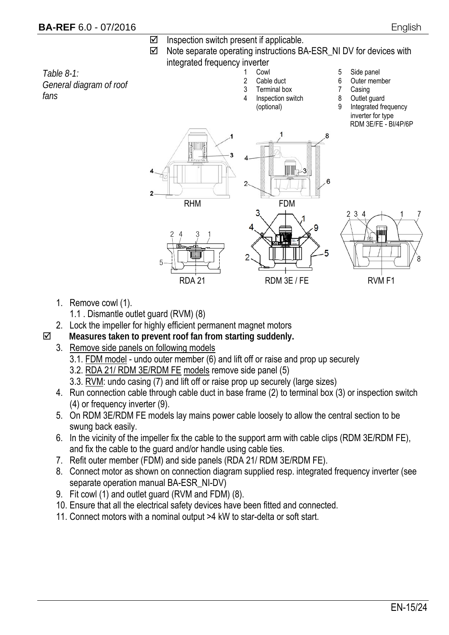- $\boxtimes$  Inspection switch present if applicable.
- $\boxtimes$  Note separate operating instructions BA-ESR NI DV for devices with integrated frequency inverter

*Table 8-1: General diagram of roof fans*

- - 1 Cowl 2 Cable duct
	- 3 Terminal box
	- Inspection switch
		- (optional)
- 5 Side panel
- 6 Outer member
- 7 Casing
- 8 Outlet guard
- 9 Integrated frequency inverter for type RDM 3E/FE - BI/4P/6P





- 1. Remove cowl (1).
	- 1.1 . Dismantle outlet guard (RVM) (8)
- 2. Lock the impeller for highly efficient permanent magnet motors
- **Measures taken to prevent roof fan from starting suddenly.** 
	- 3. Remove side panels on following models
		- 3.1. FDM model undo outer member (6) and lift off or raise and prop up securely
		- 3.2. RDA 21/ RDM 3E/RDM FE models remove side panel (5)
		- 3.3. RVM: undo casing (7) and lift off or raise prop up securely (large sizes)
	- 4. Run connection cable through cable duct in base frame (2) to terminal box (3) or inspection switch (4) or frequency inverter (9).
	- 5. On RDM 3E/RDM FE models lay mains power cable loosely to allow the central section to be swung back easily.
	- 6. In the vicinity of the impeller fix the cable to the support arm with cable clips (RDM 3E/RDM FE), and fix the cable to the guard and/or handle using cable ties.
	- 7. Refit outer member (FDM) and side panels (RDA 21/ RDM 3E/RDM FE).
	- 8. Connect motor as shown on connection diagram supplied resp. integrated frequency inverter (see separate operation manual BA-ESR\_NI-DV)
	- 9. Fit cowl (1) and outlet guard (RVM and FDM) (8).
	- 10. Ensure that all the electrical safety devices have been fitted and connected.
	- 11. Connect motors with a nominal output >4 kW to star-delta or soft start.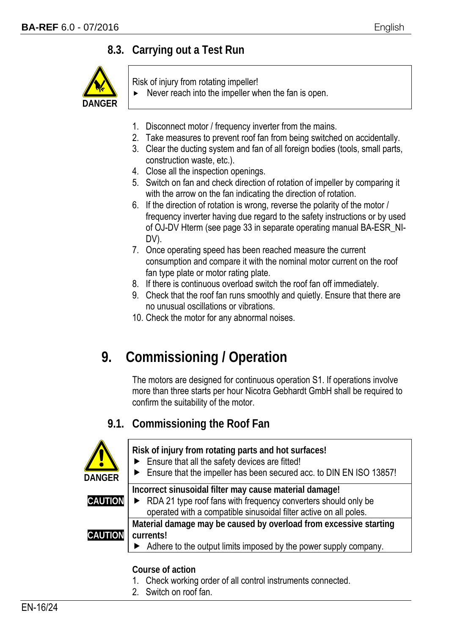#### **8.3. Carrying out a Test Run**



Risk of injury from rotating impeller!

- Never reach into the impeller when the fan is open.
- 1. Disconnect motor / frequency inverter from the mains.
- 2. Take measures to prevent roof fan from being switched on accidentally.
- 3. Clear the ducting system and fan of all foreign bodies (tools, small parts, construction waste, etc.).
- 4. Close all the inspection openings.
- 5. Switch on fan and check direction of rotation of impeller by comparing it with the arrow on the fan indicating the direction of rotation.
- 6. If the direction of rotation is wrong, reverse the polarity of the motor / frequency inverter having due regard to the safety instructions or by used of OJ-DV Hterm (see page 33 in separate operating manual BA-ESR\_NI-DV).
- 7. Once operating speed has been reached measure the current consumption and compare it with the nominal motor current on the roof fan type plate or motor rating plate.
- 8. If there is continuous overload switch the roof fan off immediately.
- 9. Check that the roof fan runs smoothly and quietly. Ensure that there are no unusual oscillations or vibrations.
- 10. Check the motor for any abnormal noises.

### **9. Commissioning / Operation**

The motors are designed for continuous operation S1. If operations involve more than three starts per hour Nicotra Gebhardt GmbH shall be required to confirm the suitability of the motor.

#### **9.1. Commissioning the Roof Fan**



2. Switch on roof fan.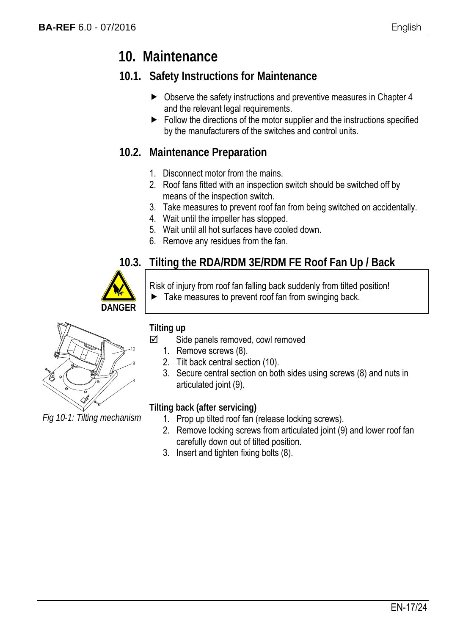### **10. Maintenance**

#### **10.1. Safety Instructions for Maintenance**

- ▶ Observe the safety instructions and preventive measures in Chapter 4 and the relevant legal requirements.
- $\blacktriangleright$  Follow the directions of the motor supplier and the instructions specified by the manufacturers of the switches and control units.

#### **10.2. Maintenance Preparation**

- 1. Disconnect motor from the mains.
- 2. Roof fans fitted with an inspection switch should be switched off by means of the inspection switch.
- 3. Take measures to prevent roof fan from being switched on accidentally.
- 4. Wait until the impeller has stopped.
- 5. Wait until all hot surfaces have cooled down.
- 6. Remove any residues from the fan.

#### **10.3. Tilting the RDA/RDM 3E/RDM FE Roof Fan Up / Back**



Risk of injury from roof fan falling back suddenly from tilted position!

 $\blacktriangleright$  Take measures to prevent roof fan from swinging back.



*Fig 10-1: Tilting mechanism*

#### **Tilting up**

- $\boxtimes$  Side panels removed, cowl removed
	- 1. Remove screws (8).
	- 2. Tilt back central section (10).
	- 3. Secure central section on both sides using screws (8) and nuts in articulated joint (9).

#### **Tilting back (after servicing)**

- 1. Prop up tilted roof fan (release locking screws).
- 2. Remove locking screws from articulated joint (9) and lower roof fan carefully down out of tilted position.
- 3. Insert and tighten fixing bolts (8).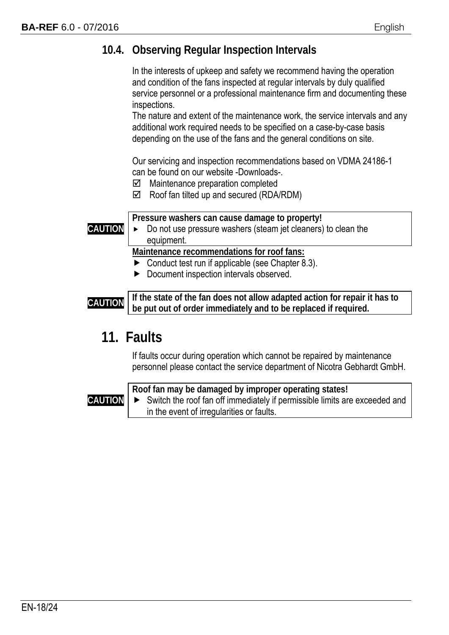#### **10.4. Observing Regular Inspection Intervals**

 In the interests of upkeep and safety we recommend having the operation and condition of the fans inspected at regular intervals by duly qualified service personnel or a professional maintenance firm and documenting these inspections.

The nature and extent of the maintenance work, the service intervals and any additional work required needs to be specified on a case-by-case basis depending on the use of the fans and the general conditions on site.

Our servicing and inspection recommendations based on VDMA 24186-1 can be found on our website -Downloads-.

- $\boxtimes$  Maintenance preparation completed
- $\boxtimes$  Roof fan tilted up and secured (RDA/RDM)

**CAUTION Pressure washers can cause damage to property!**  Do not use pressure washers (steam jet cleaners) to clean the equipment. **Maintenance recommendations for roof fans:**  ▶ Conduct test run if applicable (see Chapter 8.3).

Document inspection intervals observed.

**CAUTION** If the state of the fan does not allow adapted action for repair it has to **be put out of order immediately and to be replaced if required.** 

### **11. Faults**

If faults occur during operation which cannot be repaired by maintenance personnel please contact the service department of Nicotra Gebhardt GmbH.

#### **CAUTION**

**Roof fan may be damaged by improper operating states!**  Switch the roof fan off immediately if permissible limits are exceeded and in the event of irregularities or faults.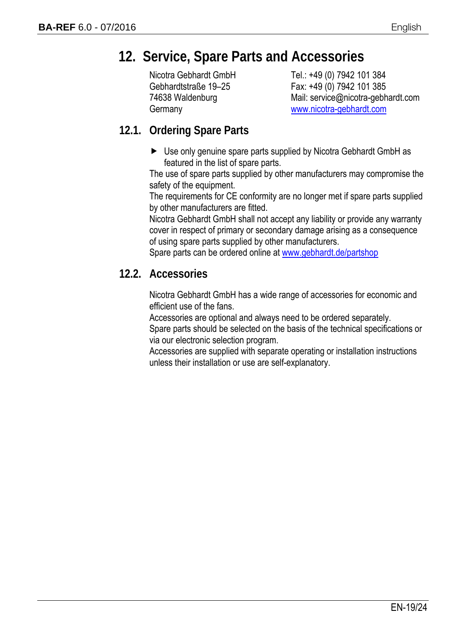### **12. Service, Spare Parts and Accessories**

Nicotra Gebhardt GmbH Gebhardtstraße 19–25 74638 Waldenburg **Germany** 

Tel.: +49 (0) 7942 101 384 Fax: +49 (0) 7942 101 385 Mail: service@nicotra-gebhardt.com www.nicotra-gebhardt.com

#### **12.1. Ordering Spare Parts**

► Use only genuine spare parts supplied by Nicotra Gebhardt GmbH as featured in the list of spare parts.

The use of spare parts supplied by other manufacturers may compromise the safety of the equipment.

The requirements for CE conformity are no longer met if spare parts supplied by other manufacturers are fitted.

Nicotra Gebhardt GmbH shall not accept any liability or provide any warranty cover in respect of primary or secondary damage arising as a consequence of using spare parts supplied by other manufacturers.

Spare parts can be ordered online at www.gebhardt.de/partshop

#### **12.2. Accessories**

Nicotra Gebhardt GmbH has a wide range of accessories for economic and efficient use of the fans.

Accessories are optional and always need to be ordered separately.

Spare parts should be selected on the basis of the technical specifications or via our electronic selection program.

Accessories are supplied with separate operating or installation instructions unless their installation or use are self-explanatory.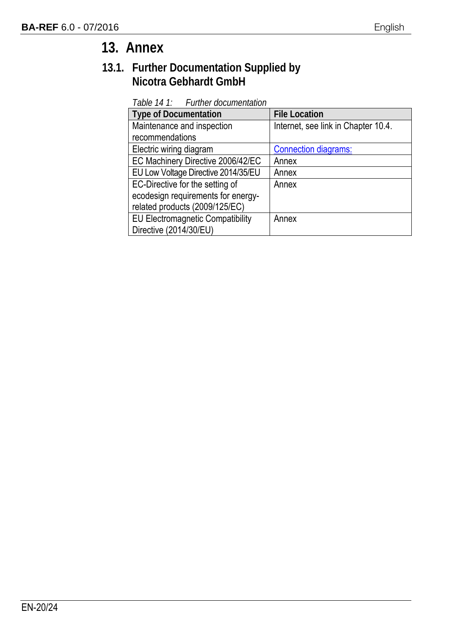### **13. Annex**

#### **13.1. Further Documentation Supplied by Nicotra Gebhardt GmbH**

*Table 14 1: Further documentation*

| <b>Type of Documentation</b>            | <b>File Location</b>                |
|-----------------------------------------|-------------------------------------|
| Maintenance and inspection              | Internet, see link in Chapter 10.4. |
| recommendations                         |                                     |
| Electric wiring diagram                 | <b>Connection diagrams:</b>         |
| EC Machinery Directive 2006/42/EC       | Annex                               |
| EU Low Voltage Directive 2014/35/EU     | Annex                               |
| EC-Directive for the setting of         | Annex                               |
| ecodesign requirements for energy-      |                                     |
| related products (2009/125/EC)          |                                     |
| <b>EU Electromagnetic Compatibility</b> | Annex                               |
| Directive (2014/30/EU)                  |                                     |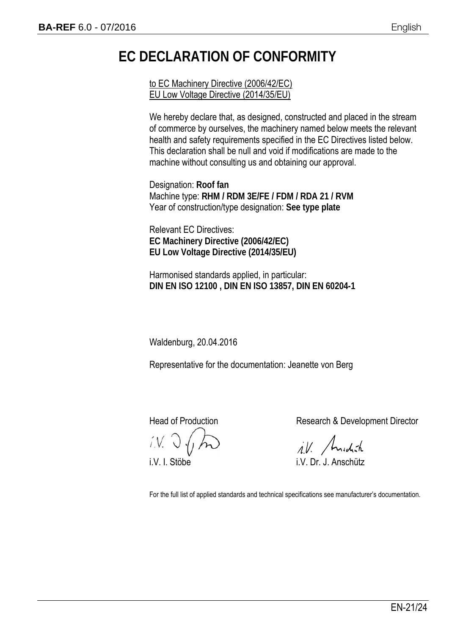### **EC DECLARATION OF CONFORMITY**

to EC Machinery Directive (2006/42/EC) EU Low Voltage Directive (2014/35/EU)

We hereby declare that, as designed, constructed and placed in the stream of commerce by ourselves, the machinery named below meets the relevant health and safety requirements specified in the EC Directives listed below. This declaration shall be null and void if modifications are made to the machine without consulting us and obtaining our approval.

Designation: **Roof fan** Machine type: **RHM / RDM 3E/FE / FDM / RDA 21 / RVM** Year of construction/type designation: **See type plate**

Relevant EC Directives: **EC Machinery Directive (2006/42/EC) EU Low Voltage Directive (2014/35/EU)** 

Harmonised standards applied, in particular: **DIN EN ISO 12100 , DIN EN ISO 13857, DIN EN 60204-1** 

Waldenburg, 20.04.2016

Representative for the documentation: Jeanette von Berg

Head of Production **Research & Development Director** 

ill. Anidish

i.V. I. Stöbe i.V. Dr. J. Anschütz

For the full list of applied standards and technical specifications see manufacturer's documentation.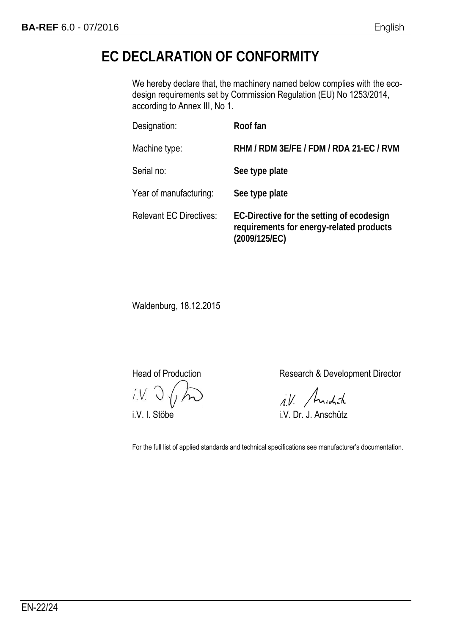### **EC DECLARATION OF CONFORMITY**

We hereby declare that, the machinery named below complies with the ecodesign requirements set by Commission Regulation (EU) No 1253/2014, according to Annex III, No 1.

| Designation:                   | Roof fan                                                                                               |
|--------------------------------|--------------------------------------------------------------------------------------------------------|
| Machine type:                  | RHM / RDM 3E/FE / FDM / RDA 21-EC / RVM                                                                |
| Serial no:                     | See type plate                                                                                         |
| Year of manufacturing:         | See type plate                                                                                         |
| <b>Relevant EC Directives:</b> | EC-Directive for the setting of ecodesign<br>requirements for energy-related products<br>(2009/125/EC) |

Waldenburg, 18.12.2015

Head of Production **Research & Development Director** 

i.V. Andrah

i.V. I. Stöbe i.V. Dr. J. Anschütz

For the full list of applied standards and technical specifications see manufacturer's documentation.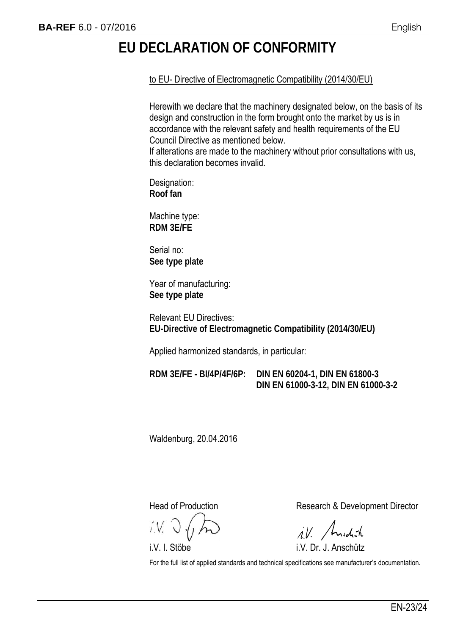### **EU DECLARATION OF CONFORMITY**

to EU- Directive of Electromagnetic Compatibility (2014/30/EU)

Herewith we declare that the machinery designated below, on the basis of its design and construction in the form brought onto the market by us is in accordance with the relevant safety and health requirements of the EU Council Directive as mentioned below.

If alterations are made to the machinery without prior consultations with us, this declaration becomes invalid.

Designation: **Roof fan** 

Machine type: **RDM 3E/FE** 

Serial no: **See type plate** 

Year of manufacturing: **See type plate** 

Relevant EU Directives: **EU-Directive of Electromagnetic Compatibility (2014/30/EU)** 

Applied harmonized standards, in particular:

**RDM 3E/FE - BI/4P/4F/6P: DIN EN 60204-1, DIN EN 61800-3 DIN EN 61000-3-12, DIN EN 61000-3-2** 

Waldenburg, 20.04.2016

Head of Production **Research & Development Director** 

ill. Andráh

i.V. I. Stöbe i.V. Dr. J. Anschütz

For the full list of applied standards and technical specifications see manufacturer's documentation.